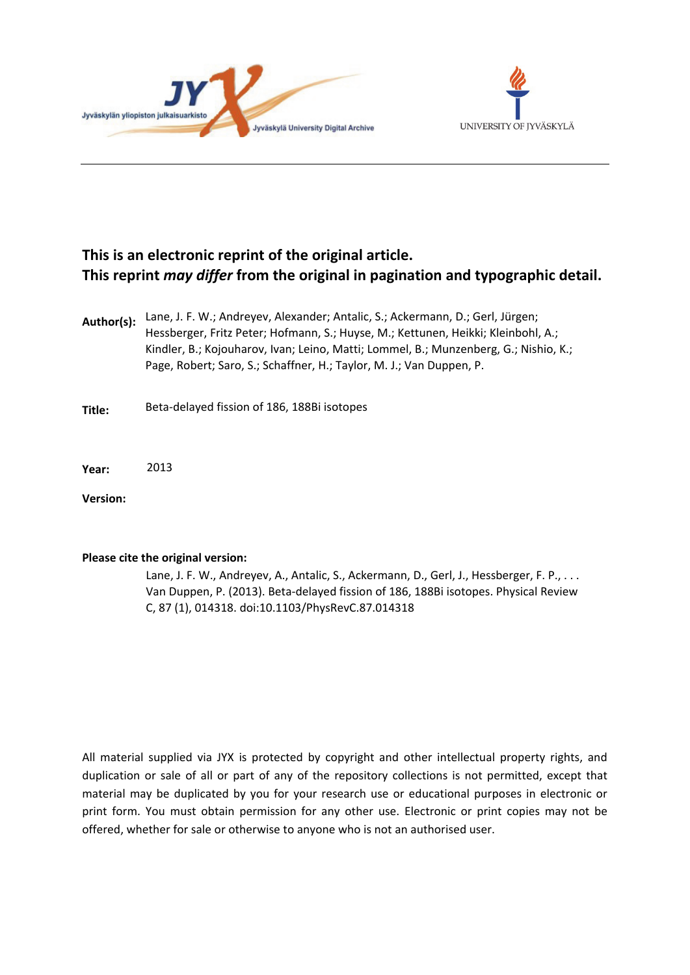



# **This is an electronic reprint of the original article. This reprint** *may differ* **from the original in pagination and typographic detail.**

- **Author(s):**  Lane, J. F. W.; Andreyev, Alexander; Antalic, S.; Ackermann, D.; Gerl, Jürgen; Hessberger, Fritz Peter; Hofmann, S.; Huyse, M.; Kettunen, Heikki; Kleinbohl, A.; Kindler, B.; Kojouharov, Ivan; Leino, Matti; Lommel, B.; Munzenberg, G.; Nishio, K.; Page, Robert; Saro, S.; Schaffner, H.; Taylor, M. J.; Van Duppen, P.
- **Title:** Beta-delayed fission of 186, 188Bi isotopes
- **Year:**  2013

**Version:**

# **Please cite the original version:**

Lane, J. F. W., Andreyev, A., Antalic, S., Ackermann, D., Gerl, J., Hessberger, F. P., ... Van Duppen, P. (2013). Beta-delayed fission of 186, 188Bi isotopes. Physical Review C, 87 (1), 014318. doi:10.1103/PhysRevC.87.014318

All material supplied via JYX is protected by copyright and other intellectual property rights, and duplication or sale of all or part of any of the repository collections is not permitted, except that material may be duplicated by you for your research use or educational purposes in electronic or print form. You must obtain permission for any other use. Electronic or print copies may not be offered, whether for sale or otherwise to anyone who is not an authorised user.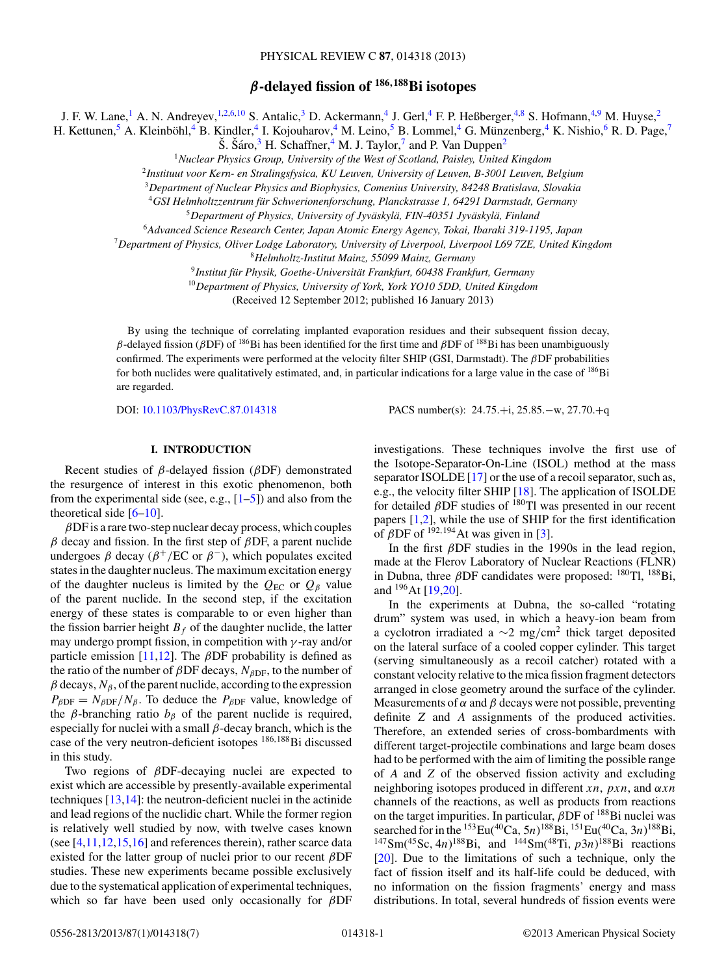# *β***-delayed fission of <sup>186</sup>***,***188Bi isotopes**

J. F. W. Lane,<sup>1</sup> A. N. Andreyev,<sup>1,2,6,10</sup> S. Antalic,<sup>3</sup> D. Ackermann,<sup>4</sup> J. Gerl,<sup>4</sup> F. P. Heßberger,<sup>4,8</sup> S. Hofmann,<sup>4,9</sup> M. Huyse,<sup>2</sup>

H. Kettunen,  ${}^5$  A. Kleinböhl,  ${}^4$  B. Kindler,  ${}^4$  I. Kojouharov,  ${}^4$  M. Leino,  ${}^5$  B. Lommel,  ${}^4$  G. Münzenberg,  ${}^4$  K. Nishio,  ${}^6$  R. D. Page,  ${}^7$ 

 $\widetilde{\text{S}}$ .  $\widetilde{\text{S}}$ áro, <sup>3</sup> H. Schaffner, <sup>4</sup> M. J. Taylor, <sup>7</sup> and P. Van Duppen<sup>2</sup>

<sup>1</sup>*Nuclear Physics Group, University of the West of Scotland, Paisley, United Kingdom*

<sup>2</sup>*Instituut voor Kern- en Stralingsfysica, KU Leuven, University of Leuven, B-3001 Leuven, Belgium*

<sup>3</sup>*Department of Nuclear Physics and Biophysics, Comenius University, 84248 Bratislava, Slovakia*

<sup>4</sup>*GSI Helmholtzzentrum fur Schwerionenforschung, Planckstrasse 1, 64291 Darmstadt, Germany ¨*

<sup>5</sup>*Department of Physics, University of Jyvaskyl ¨ a, FIN-40351 Jyv ¨ askyl ¨ a, Finland ¨*

<sup>6</sup>*Advanced Science Research Center, Japan Atomic Energy Agency, Tokai, Ibaraki 319-1195, Japan*

<sup>7</sup>*Department of Physics, Oliver Lodge Laboratory, University of Liverpool, Liverpool L69 7ZE, United Kingdom*

<sup>8</sup>*Helmholtz-Institut Mainz, 55099 Mainz, Germany*

<sup>9</sup> Institut für Physik, Goethe-Universität Frankfurt, 60438 Frankfurt, Germany

<sup>10</sup>*Department of Physics, University of York, York YO10 5DD, United Kingdom*

(Received 12 September 2012; published 16 January 2013)

By using the technique of correlating implanted evaporation residues and their subsequent fission decay, β-delayed fission (βDF) of <sup>186</sup>Bi has been identified for the first time and βDF of <sup>188</sup>Bi has been unambiguously confirmed. The experiments were performed at the velocity filter SHIP (GSI, Darmstadt). The βDF probabilities for both nuclides were qualitatively estimated, and, in particular indications for a large value in the case of <sup>186</sup>Bi are regarded.

DOI: [10.1103/PhysRevC.87.014318](http://dx.doi.org/10.1103/PhysRevC.87.014318) PACS number(s): 24.75.+i, 25.85.−w, 27.70.+q

# **I. INTRODUCTION**

Recent studies of  $\beta$ -delayed fission ( $\beta$ DF) demonstrated the resurgence of interest in this exotic phenomenon, both from the experimental side (see, e.g.,  $[1-5]$ ) and also from the theoretical side  $[6–10]$ .

 $\beta$ DF is a rare two-step nuclear decay process, which couples  $β$  decay and fission. In the first step of  $β$ DF, a parent nuclide undergoes  $\beta$  decay ( $\beta^+$ /EC or  $\beta^-$ ), which populates excited states in the daughter nucleus. The maximum excitation energy of the daughter nucleus is limited by the  $Q_{EC}$  or  $Q_B$  value of the parent nuclide. In the second step, if the excitation energy of these states is comparable to or even higher than the fission barrier height  $B_f$  of the daughter nuclide, the latter may undergo prompt fission, in competition with  $\gamma$ -ray and/or particle emission [\[11,12\]](#page-6-0). The  $\beta$ DF probability is defined as the ratio of the number of  $\beta$ DF decays,  $N_{\beta$ DF, to the number of  $\beta$  decays,  $N_{\beta}$ , of the parent nuclide, according to the expression  $P_{\beta DF} = N_{\beta DF}/N_{\beta}$ . To deduce the  $P_{\beta DF}$  value, knowledge of the  $\beta$ -branching ratio  $b_{\beta}$  of the parent nuclide is required, especially for nuclei with a small  $\beta$ -decay branch, which is the case of the very neutron-deficient isotopes <sup>186,188</sup>Bi discussed in this study.

Two regions of βDF-decaying nuclei are expected to exist which are accessible by presently-available experimental techniques [\[13,14\]](#page-6-0): the neutron-deficient nuclei in the actinide and lead regions of the nuclidic chart. While the former region is relatively well studied by now, with twelve cases known (see  $[4,11,12,15,16]$  and references therein), rather scarce data existed for the latter group of nuclei prior to our recent  $\beta$ DF studies. These new experiments became possible exclusively due to the systematical application of experimental techniques, which so far have been used only occasionally for  $\beta$ DF investigations. These techniques involve the first use of the Isotope-Separator-On-Line (ISOL) method at the mass separator ISOLDE [\[17\]](#page-6-0) or the use of a recoil separator, such as, e.g., the velocity filter SHIP [\[18\]](#page-6-0). The application of ISOLDE for detailed  $\beta$ DF studies of  $^{180}$ Tl was presented in our recent papers [\[1,2\]](#page-6-0), while the use of SHIP for the first identification of  $\beta$ DF of <sup>192,194</sup>At was given in [\[3\]](#page-6-0).

In the first  $\beta$ DF studies in the 1990s in the lead region, made at the Flerov Laboratory of Nuclear Reactions (FLNR) in Dubna, three  $\beta$ DF candidates were proposed:  $^{180}$ Tl,  $^{188}$ Bi, and 196At [\[19,20\]](#page-6-0).

In the experiments at Dubna, the so-called "rotating drum" system was used, in which a heavy-ion beam from a cyclotron irradiated a  $\sim$ 2 mg/cm<sup>2</sup> thick target deposited on the lateral surface of a cooled copper cylinder. This target (serving simultaneously as a recoil catcher) rotated with a constant velocity relative to the mica fission fragment detectors arranged in close geometry around the surface of the cylinder. Measurements of  $\alpha$  and  $\beta$  decays were not possible, preventing definite Z and A assignments of the produced activities. Therefore, an extended series of cross-bombardments with different target-projectile combinations and large beam doses had to be performed with the aim of limiting the possible range of A and Z of the observed fission activity and excluding neighboring isotopes produced in different xn,  $p x n$ , and  $\alpha x n$ channels of the reactions, as well as products from reactions on the target impurities. In particular,  $\beta$ DF of  $^{188}$ Bi nuclei was searched for in the <sup>153</sup>Eu(<sup>40</sup>Ca, 5n)<sup>188</sup>Bi, <sup>151</sup>Eu(<sup>40</sup>Ca, 3n)<sup>188</sup>Bi,  $147\,\text{Sm}(45\,\text{Sc},\,4n)^{188}\,\text{Bi}$ , and  $144\,\text{Sm}(48\,\text{Ti},\,p3n)^{188}\,\text{Bi}$  reactions [\[20\]](#page-6-0). Due to the limitations of such a technique, only the fact of fission itself and its half-life could be deduced, with no information on the fission fragments' energy and mass distributions. In total, several hundreds of fission events were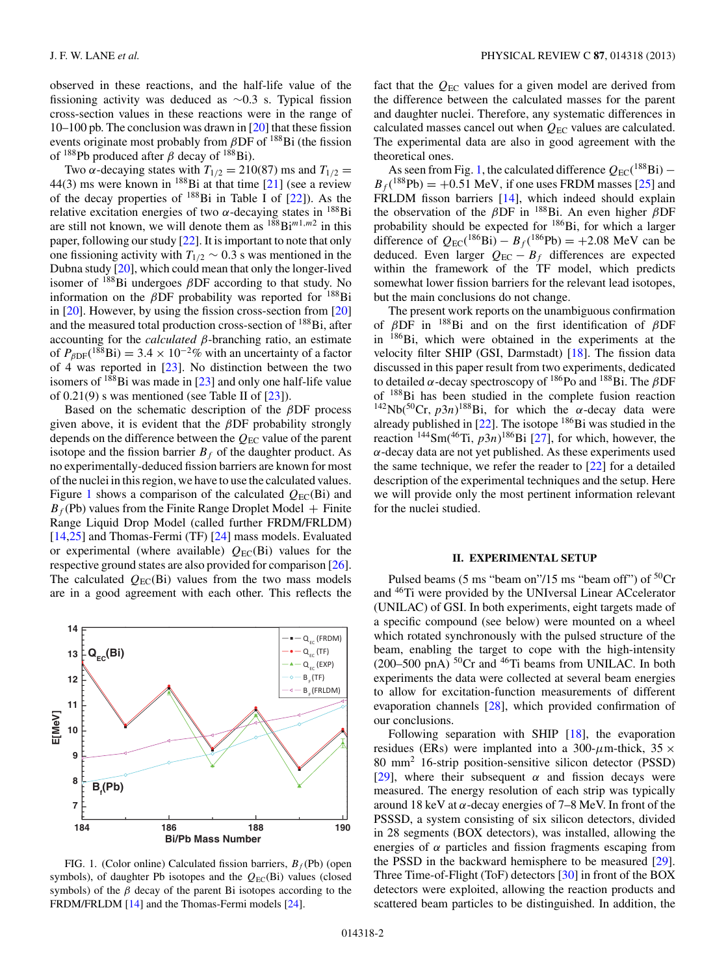<span id="page-2-0"></span>observed in these reactions, and the half-life value of the fissioning activity was deduced as ∼0.3 s. Typical fission cross-section values in these reactions were in the range of 10–100 pb. The conclusion was drawn in [\[20\]](#page-6-0) that these fission events originate most probably from  $\beta$ DF of <sup>188</sup>Bi (the fission of  $^{188}$ Pb produced after  $\beta$  decay of  $^{188}$ Bi).

Two  $\alpha$ -decaying states with  $T_{1/2} = 210(87)$  ms and  $T_{1/2} =$ 44(3) ms were known in  $^{188}$ Bi at that time [\[21\]](#page-6-0) (see a review of the decay properties of 188Bi in Table I of [\[22\]](#page-6-0)). As the relative excitation energies of two  $\alpha$ -decaying states in <sup>188</sup>Bi are still not known, we will denote them as  $188 \text{Bi}^{m1,m2}$  in this paper, following our study [\[22\]](#page-6-0). It is important to note that only one fissioning activity with  $T_{1/2} \sim 0.3$  s was mentioned in the Dubna study [\[20\]](#page-6-0), which could mean that only the longer-lived isomer of  $188Bi$  undergoes  $\beta$ DF according to that study. No information on the  $\beta$ DF probability was reported for  $^{188}$ Bi in [\[20\]](#page-6-0). However, by using the fission cross-section from [\[20\]](#page-6-0) and the measured total production cross-section of 188Bi, after accounting for the *calculated* β-branching ratio, an estimate of  $P_{\beta DF}({}^{188}\text{Bi}) = 3.4 \times 10^{-2}\%$  with an uncertainty of a factor of  $\overline{4}$  was reported in [\[23\]](#page-6-0). No distinction between the two isomers of  $188B$  was made in [\[23\]](#page-6-0) and only one half-life value of  $0.21(9)$  s was mentioned (see Table II of  $[23]$ ).

Based on the schematic description of the  $\beta$ DF process given above, it is evident that the  $\beta$ DF probability strongly depends on the difference between the  $Q_{\text{EC}}$  value of the parent isotope and the fission barrier  $B_f$  of the daughter product. As no experimentally-deduced fission barriers are known for most of the nuclei in this region, we have to use the calculated values. Figure 1 shows a comparison of the calculated  $Q_{EC}(Bi)$  and  $B_f$ (Pb) values from the Finite Range Droplet Model + Finite Range Liquid Drop Model (called further FRDM/FRLDM) [\[14,25\]](#page-6-0) and Thomas-Fermi (TF) [\[24\]](#page-6-0) mass models. Evaluated or experimental (where available)  $Q_{\text{EC}}(B_i)$  values for the respective ground states are also provided for comparison [\[26\]](#page-6-0). The calculated  $Q_{EC}(Bi)$  values from the two mass models are in a good agreement with each other. This reflects the



FIG. 1. (Color online) Calculated fission barriers,  $B_f$  (Pb) (open symbols), of daughter Pb isotopes and the  $Q_{EC}(Bi)$  values (closed symbols) of the  $\beta$  decay of the parent Bi isotopes according to the FRDM/FRLDM [\[14\]](#page-6-0) and the Thomas-Fermi models [\[24\]](#page-6-0).

fact that the  $Q_{EC}$  values for a given model are derived from the difference between the calculated masses for the parent and daughter nuclei. Therefore, any systematic differences in calculated masses cancel out when  $Q_{\text{EC}}$  values are calculated. The experimental data are also in good agreement with the theoretical ones.

As seen from Fig. 1, the calculated difference  $Q_{EC}$  (<sup>188</sup>Bi) –  $B_f$ <sup>(188</sup>Pb) = +0.51 MeV, if one uses FRDM masses [\[25\]](#page-6-0) and FRLDM fisson barriers [\[14\]](#page-6-0), which indeed should explain the observation of the  $\beta$ DF in <sup>188</sup>Bi. An even higher  $\beta$ DF probability should be expected for 186Bi, for which a larger difference of  $Q_{EC}({}^{186}Bi) - B_f({}^{186}Pb) = +2.08$  MeV can be deduced. Even larger  $Q_{EC} - B_f$  differences are expected within the framework of the TF model, which predicts somewhat lower fission barriers for the relevant lead isotopes, but the main conclusions do not change.

The present work reports on the unambiguous confirmation of  $\beta$ DF in <sup>188</sup>Bi and on the first identification of  $\beta$ DF in 186Bi, which were obtained in the experiments at the velocity filter SHIP (GSI, Darmstadt) [\[18\]](#page-6-0). The fission data discussed in this paper result from two experiments, dedicated to detailed  $\alpha$ -decay spectroscopy of <sup>186</sup>Po and <sup>188</sup>Bi. The βDF of 188Bi has been studied in the complete fusion reaction <sup>142</sup>Nb(<sup>50</sup>Cr,  $p3n$ )<sup>188</sup>Bi, for which the  $\alpha$ -decay data were already published in [\[22\]](#page-6-0). The isotope <sup>186</sup>Bi was studied in the reaction  $144\text{Sm}(46\text{Ti}, p3n)$  186Bi [\[27\]](#page-6-0), for which, however, the  $\alpha$ -decay data are not yet published. As these experiments used the same technique, we refer the reader to  $[22]$  for a detailed description of the experimental techniques and the setup. Here we will provide only the most pertinent information relevant for the nuclei studied.

#### **II. EXPERIMENTAL SETUP**

Pulsed beams (5 ms "beam on"/15 ms "beam off") of  ${}^{50}Cr$ and 46Ti were provided by the UNIversal Linear ACcelerator (UNILAC) of GSI. In both experiments, eight targets made of a specific compound (see below) were mounted on a wheel which rotated synchronously with the pulsed structure of the beam, enabling the target to cope with the high-intensity (200–500 pnA)  ${}^{50}Cr$  and  ${}^{46}Ti$  beams from UNILAC. In both experiments the data were collected at several beam energies to allow for excitation-function measurements of different evaporation channels [\[28\]](#page-6-0), which provided confirmation of our conclusions.

Following separation with SHIP [\[18\]](#page-6-0), the evaporation residues (ERs) were implanted into a 300- $\mu$ m-thick, 35  $\times$ 80 mm2 16-strip position-sensitive silicon detector (PSSD) [\[29\]](#page-6-0), where their subsequent  $\alpha$  and fission decays were measured. The energy resolution of each strip was typically around 18 keV at α-decay energies of 7–8 MeV. In front of the PSSSD, a system consisting of six silicon detectors, divided in 28 segments (BOX detectors), was installed, allowing the energies of  $\alpha$  particles and fission fragments escaping from the PSSD in the backward hemisphere to be measured [\[29\]](#page-6-0). Three Time-of-Flight (ToF) detectors [\[30\]](#page-6-0) in front of the BOX detectors were exploited, allowing the reaction products and scattered beam particles to be distinguished. In addition, the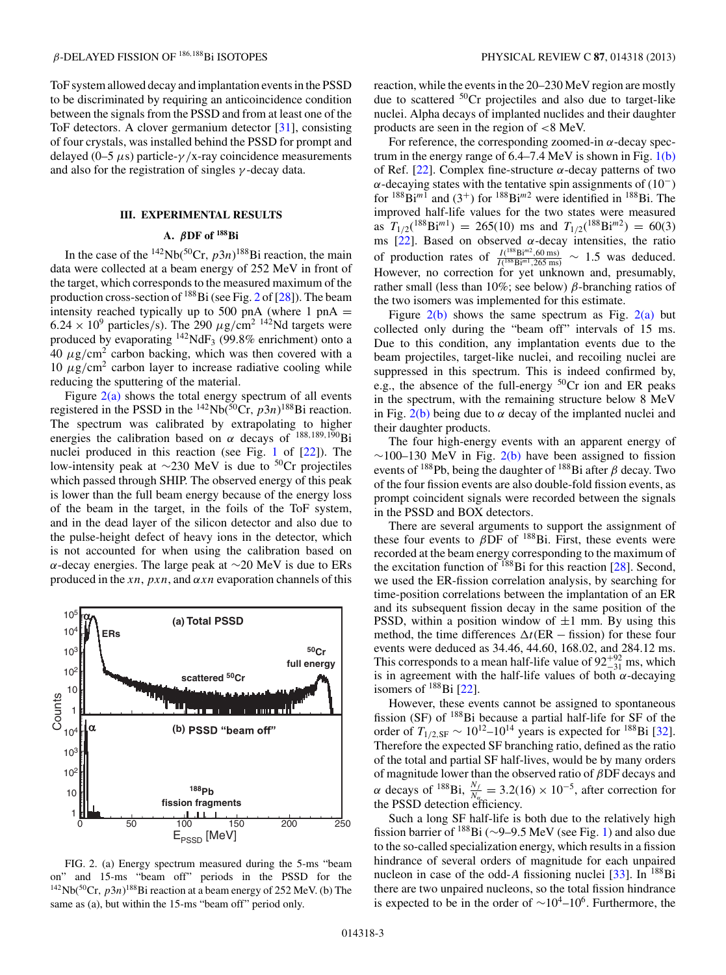<span id="page-3-0"></span>ToF system allowed decay and implantation events in the PSSD to be discriminated by requiring an anticoincidence condition between the signals from the PSSD and from at least one of the ToF detectors. A clover germanium detector [\[31\]](#page-7-0), consisting of four crystals, was installed behind the PSSD for prompt and delayed (0–5  $\mu$ s) particle- $\gamma$ /x-ray coincidence measurements and also for the registration of singles  $\gamma$ -decay data.

# **III. EXPERIMENTAL RESULTS**

# **A.** *β***DF of 188Bi**

In the case of the <sup>142</sup>Nb(<sup>50</sup>Cr,  $p3n$ )<sup>188</sup>Bi reaction, the main data were collected at a beam energy of 252 MeV in front of the target, which corresponds to the measured maximum of the production cross-section of 188Bi (see Fig. 2 of [\[28\]](#page-6-0)). The beam intensity reached typically up to 500 pnA (where 1 pnA  $=$  $6.24 \times 10^9$  particles/s). The 290  $\mu$ g/cm<sup>2 142</sup>Nd targets were produced by evaporating  $142$ NdF<sub>3</sub> (99.8% enrichment) onto a  $40 \mu$ g/cm<sup>2</sup> carbon backing, which was then covered with a 10  $\mu$ g/cm<sup>2</sup> carbon layer to increase radiative cooling while reducing the sputtering of the material.

Figure  $2(a)$  shows the total energy spectrum of all events registered in the PSSD in the  $^{142}Nb(^{50}Cr, p3n)^{188}Bi$  reaction. The spectrum was calibrated by extrapolating to higher energies the calibration based on  $\alpha$  decays of  $^{188,189,190}$ Bi nuclei produced in this reaction (see Fig. [1](#page-2-0) of [\[22\]](#page-6-0)). The low-intensity peak at <sup>∼</sup>230 MeV is due to 50Cr projectiles which passed through SHIP. The observed energy of this peak is lower than the full beam energy because of the energy loss of the beam in the target, in the foils of the ToF system, and in the dead layer of the silicon detector and also due to the pulse-height defect of heavy ions in the detector, which is not accounted for when using the calibration based on α-decay energies. The large peak at  $\sim$ 20 MeV is due to ERs produced in the xn,  $pxn$ , and  $\alpha xn$  evaporation channels of this



FIG. 2. (a) Energy spectrum measured during the 5-ms "beam on" and 15-ms "beam off" periods in the PSSD for the <sup>142</sup>Nb(<sup>50</sup>Cr,  $p3n$ )<sup>188</sup>Bi reaction at a beam energy of 252 MeV. (b) The same as (a), but within the 15-ms "beam off" period only.

reaction, while the events in the 20–230 MeV region are mostly due to scattered 50Cr projectiles and also due to target-like nuclei. Alpha decays of implanted nuclides and their daughter products are seen in the region of <8 MeV.

For reference, the corresponding zoomed-in  $\alpha$ -decay spectrum in the energy range of  $6.4-7.4$  MeV is shown in Fig.  $1(b)$ of Ref. [\[22\]](#page-6-0). Complex fine-structure  $\alpha$ -decay patterns of two  $\alpha$ -decaying states with the tentative spin assignments of (10<sup>-</sup>) for  $188\text{Bi}^{m_1}$  and (3<sup>+</sup>) for  $188\text{Bi}^{m_2}$  were identified in  $188\text{Bi}$ . The improved half-life values for the two states were measured as  $T_{1/2}({}^{188}\text{Bi}^{m1}) = 265(10)$  ms and  $T_{1/2}({}^{188}\text{Bi}^{m2}) = 60(3)$ ms [\[22\]](#page-6-0). Based on observed  $\alpha$ -decay intensities, the ratio of production rates of  $\frac{I(^{188}\text{Bi}^{m2}, 60 \text{ ms})}{I(^{188}\text{Bi}^{m1}, 265 \text{ ms})} \sim 1.5$  was deduced. However, no correction for yet unknown and, presumably, rather small (less than 10%; see below)  $β$ -branching ratios of the two isomers was implemented for this estimate.

Figure  $2(b)$  shows the same spectrum as Fig.  $2(a)$  but collected only during the "beam off" intervals of 15 ms. Due to this condition, any implantation events due to the beam projectiles, target-like nuclei, and recoiling nuclei are suppressed in this spectrum. This is indeed confirmed by, e.g., the absence of the full-energy  ${}^{50}Cr$  ion and ER peaks in the spectrum, with the remaining structure below 8 MeV in Fig.  $2(b)$  being due to  $\alpha$  decay of the implanted nuclei and their daughter products.

The four high-energy events with an apparent energy of  $∼100–130$  MeV in Fig. 2(b) have been assigned to fission events of  $188$ Pb, being the daughter of  $188$ Bi after  $\beta$  decay. Two of the four fission events are also double-fold fission events, as prompt coincident signals were recorded between the signals in the PSSD and BOX detectors.

There are several arguments to support the assignment of these four events to  $\beta$ DF of <sup>188</sup>Bi. First, these events were recorded at the beam energy corresponding to the maximum of the excitation function of  $^{188}$ Bi for this reaction [\[28\]](#page-6-0). Second, we used the ER-fission correlation analysis, by searching for time-position correlations between the implantation of an ER and its subsequent fission decay in the same position of the PSSD, within a position window of  $\pm 1$  mm. By using this method, the time differences  $\Delta t$ (ER − fission) for these four events were deduced as 34.46, 44.60, 168.02, and 284.12 ms. This corresponds to a mean half-life value of  $92^{+92}_{-31}$  ms, which is in agreement with the half-life values of both  $\alpha$ -decaying isomers of  $^{188}$ Bi [\[22\]](#page-6-0).

However, these events cannot be assigned to spontaneous fission (SF) of  $188$ Bi because a partial half-life for SF of the order of  $T_{1/2,\text{SF}} \sim 10^{12} - 10^{14}$  years is expected for <sup>188</sup>Bi [\[32\]](#page-7-0). Therefore the expected SF branching ratio, defined as the ratio of the total and partial SF half-lives, would be by many orders of magnitude lower than the observed ratio of  $\beta$ DF decays and  $\alpha$  decays of <sup>188</sup>Bi,  $\frac{N_f}{N_{\alpha}} = 3.2(16) \times 10^{-5}$ , after correction for the PSSD detection efficiency.

Such a long SF half-life is both due to the relatively high fission barrier of <sup>188</sup>Bi (∼9–9.5 MeV (see Fig. [1\)](#page-2-0) and also due to the so-called specialization energy, which results in a fission hindrance of several orders of magnitude for each unpaired nucleon in case of the odd-A fissioning nuclei  $[33]$ . In  $^{188}$ Bi there are two unpaired nucleons, so the total fission hindrance is expected to be in the order of  $\sim 10^4$ – $10^6$ . Furthermore, the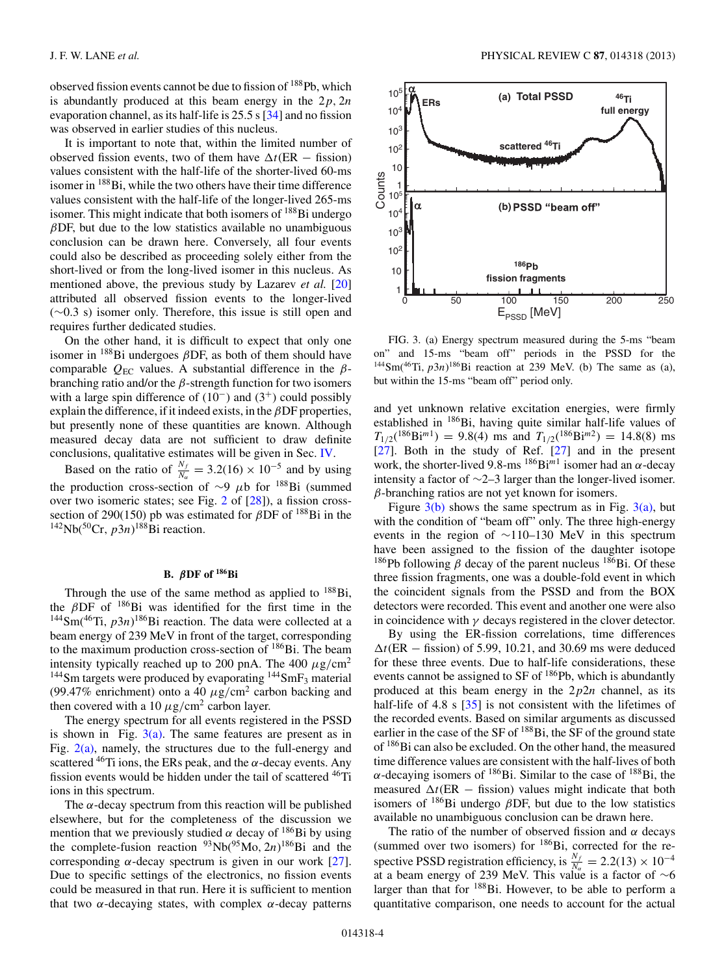observed fission events cannot be due to fission of 188Pb, which is abundantly produced at this beam energy in the  $2p$ ,  $2n$ evaporation channel, as its half-life is 25.5 s [\[34\]](#page-7-0) and no fission was observed in earlier studies of this nucleus.

It is important to note that, within the limited number of observed fission events, two of them have  $\Delta t$ (ER – fission) values consistent with the half-life of the shorter-lived 60-ms isomer in <sup>188</sup>Bi, while the two others have their time difference values consistent with the half-life of the longer-lived 265-ms isomer. This might indicate that both isomers of  $^{188}$ Bi undergo  $\beta$ DF, but due to the low statistics available no unambiguous conclusion can be drawn here. Conversely, all four events could also be described as proceeding solely either from the short-lived or from the long-lived isomer in this nucleus. As mentioned above, the previous study by Lazarev *et al.* [\[20\]](#page-6-0) attributed all observed fission events to the longer-lived (∼0.3 s) isomer only. Therefore, this issue is still open and requires further dedicated studies.

On the other hand, it is difficult to expect that only one isomer in  $^{188}$ Bi undergoes  $\beta$ DF, as both of them should have comparable  $Q_{EC}$  values. A substantial difference in the  $\beta$ branching ratio and/or the  $\beta$ -strength function for two isomers with a large spin difference of  $(10^-)$  and  $(3^+)$  could possibly explain the difference, if it indeed exists, in the  $\beta$ DF properties, but presently none of these quantities are known. Although measured decay data are not sufficient to draw definite conclusions, qualitative estimates will be given in Sec. [IV.](#page-5-0)

Based on the ratio of  $\frac{N_f}{N_a} = 3.2(16) \times 10^{-5}$  and by using the production cross-section of  $\sim$ 9  $\mu$ b for <sup>188</sup>Bi (summed over two isomeric states; see Fig. [2](#page-3-0) of [\[28\]](#page-6-0)), a fission crosssection of 290(150) pb was estimated for  $\beta$ DF of <sup>188</sup>Bi in the  $^{142}Nb(^{50}Cr, p3n)^{188}Bi$  reaction.

# **B.** *β***DF of 186Bi**

Through the use of the same method as applied to  $^{188}Bi$ , the  $\beta$ DF of <sup>186</sup>Bi was identified for the first time in the  $144$ Sm( $46$ Ti,  $p3n$ ) $186$ Bi reaction. The data were collected at a beam energy of 239 MeV in front of the target, corresponding to the maximum production cross-section of <sup>186</sup>Bi. The beam intensity typically reached up to 200 pnA. The 400  $\mu$ g/cm<sup>2</sup>  $144$ Sm targets were produced by evaporating  $144$ SmF<sub>3</sub> material (99.47% enrichment) onto a 40  $\mu$ g/cm<sup>2</sup> carbon backing and then covered with a 10  $\mu$ g/cm<sup>2</sup> carbon layer.

The energy spectrum for all events registered in the PSSD is shown in Fig.  $3(a)$ . The same features are present as in Fig.  $2(a)$ , namely, the structures due to the full-energy and scattered  $^{46}$ Ti ions, the ERs peak, and the  $\alpha$ -decay events. Any fission events would be hidden under the tail of scattered <sup>46</sup>Ti ions in this spectrum.

The  $\alpha$ -decay spectrum from this reaction will be published elsewhere, but for the completeness of the discussion we mention that we previously studied  $\alpha$  decay of <sup>186</sup>Bi by using the complete-fusion reaction  $\frac{93}{10}(95 \text{Mo}, 2n)^{186}\text{Bi}$  and the corresponding  $\alpha$ -decay spectrum is given in our work [\[27\]](#page-6-0). Due to specific settings of the electronics, no fission events could be measured in that run. Here it is sufficient to mention that two  $α$ -decaying states, with complex  $α$ -decay patterns



FIG. 3. (a) Energy spectrum measured during the 5-ms "beam on" and 15-ms "beam off" periods in the PSSD for the <sup>144</sup>Sm(<sup>46</sup>Ti,  $p3n$ )<sup>186</sup>Bi reaction at 239 MeV. (b) The same as (a), but within the 15-ms "beam off" period only.

and yet unknown relative excitation energies, were firmly established in 186Bi, having quite similar half-life values of  $T_{1/2}({}^{186}\text{Bi}^{m1}) = 9.8(4)$  ms and  $T_{1/2}({}^{186}\text{Bi}^{m2}) = 14.8(8)$  ms [\[27\]](#page-6-0). Both in the study of Ref. [\[27\]](#page-6-0) and in the present work, the shorter-lived 9.8-ms  $^{186}Bi^{m1}$  isomer had an  $\alpha$ -decay intensity a factor of ∼2–3 larger than the longer-lived isomer.  $\beta$ -branching ratios are not yet known for isomers.

Figure  $3(b)$  shows the same spectrum as in Fig.  $3(a)$ , but with the condition of "beam off" only. The three high-energy events in the region of ∼110–130 MeV in this spectrum have been assigned to the fission of the daughter isotope <sup>186</sup>Pb following  $\beta$  decay of the parent nucleus <sup>186</sup>Bi. Of these three fission fragments, one was a double-fold event in which the coincident signals from the PSSD and from the BOX detectors were recorded. This event and another one were also in coincidence with  $\gamma$  decays registered in the clover detector.

By using the ER-fission correlations, time differences  $\Delta t$ (ER – fission) of 5.99, 10.21, and 30.69 ms were deduced for these three events. Due to half-life considerations, these events cannot be assigned to SF of <sup>186</sup>Pb, which is abundantly produced at this beam energy in the  $2p2n$  channel, as its half-life of 4.8 s [\[35\]](#page-7-0) is not consistent with the lifetimes of the recorded events. Based on similar arguments as discussed earlier in the case of the SF of <sup>188</sup>Bi, the SF of the ground state of 186Bi can also be excluded. On the other hand, the measured time difference values are consistent with the half-lives of both α-decaying isomers of  $186$ Bi. Similar to the case of  $188$ Bi, the measured  $\Delta t$ (ER – fission) values might indicate that both isomers of  $^{186}$ Bi undergo  $\beta$ DF, but due to the low statistics available no unambiguous conclusion can be drawn here.

The ratio of the number of observed fission and  $\alpha$  decays (summed over two isomers) for  $186$ Bi, corrected for the respective PSSD registration efficiency, is  $\frac{N_f}{N_a} = 2.2(13) \times 10^{-4}$ at a beam energy of 239 MeV. This value is a factor of  $\sim$ 6 larger than that for  $188$ Bi. However, to be able to perform a quantitative comparison, one needs to account for the actual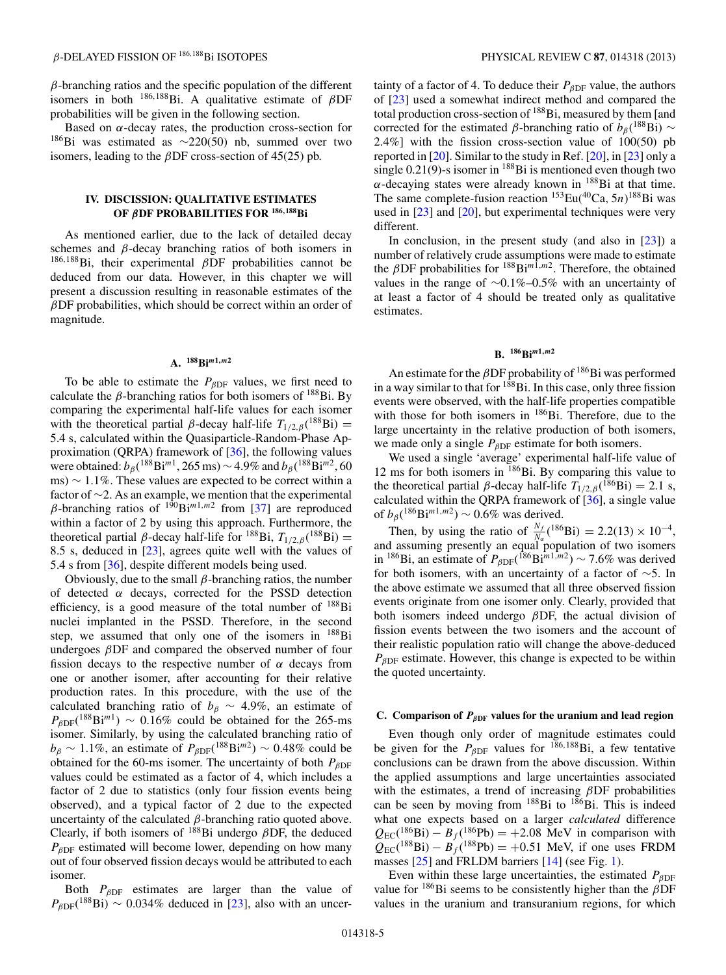# <span id="page-5-0"></span>β-DELAYED FISSION OF <sup>186</sup>,188Bi ISOTOPES PHYSICAL REVIEW C **87**, 014318 (2013)

 $\beta$ -branching ratios and the specific population of the different isomers in both  $186,188$ Bi. A qualitative estimate of  $\beta$ DF probabilities will be given in the following section.

Based on  $\alpha$ -decay rates, the production cross-section for 186Bi was estimated as <sup>∼</sup>220(50) nb, summed over two isomers, leading to the  $\beta$ DF cross-section of 45(25) pb.

# **IV. DISCISSION: QUALITATIVE ESTIMATES OF** *β***DF PROBABILITIES FOR <sup>186</sup>***,***188Bi**

As mentioned earlier, due to the lack of detailed decay schemes and  $\beta$ -decay branching ratios of both isomers in  $186,188$ Bi, their experimental  $\beta$ DF probabilities cannot be deduced from our data. However, in this chapter we will present a discussion resulting in reasonable estimates of the  $\beta$ DF probabilities, which should be correct within an order of magnitude.

#### **A. 188Bi***m***1***,m***<sup>2</sup>**

To be able to estimate the  $P_{\beta \text{DF}}$  values, we first need to calculate the  $\beta$ -branching ratios for both isomers of <sup>188</sup>Bi. By comparing the experimental half-life values for each isomer with the theoretical partial  $\beta$ -decay half-life  $T_{1/2,\beta}$ (<sup>188</sup>Bi) = 5.4 s, calculated within the Quasiparticle-Random-Phase Approximation (QRPA) framework of [\[36\]](#page-7-0), the following values were obtained:  $b_{\beta}$ ( $^{188}$ Bi<sup>m1</sup>, 265 ms) ~ 4.9% and  $b_{\beta}$ ( $^{188}$ Bi<sup>m2</sup>, 60 ms)  $\sim$  1.1%. These values are expected to be correct within a factor of ∼2. As an example, we mention that the experimental β-branching ratios of  $190B<sub>1</sub>$ m<sup>1,m2</sup> from [\[37\]](#page-7-0) are reproduced within a factor of 2 by using this approach. Furthermore, the theoretical partial  $\beta$ -decay half-life for <sup>188</sup>Bi,  $T_{1/2,\beta}$  (<sup>188</sup>Bi) = 8.5 s, deduced in [\[23\]](#page-6-0), agrees quite well with the values of 5.4 s from [\[36\]](#page-7-0), despite different models being used.

Obviously, due to the small  $\beta$ -branching ratios, the number of detected  $\alpha$  decays, corrected for the PSSD detection efficiency, is a good measure of the total number of 188Bi nuclei implanted in the PSSD. Therefore, in the second step, we assumed that only one of the isomers in 188Bi undergoes  $\beta$ DF and compared the observed number of four fission decays to the respective number of  $\alpha$  decays from one or another isomer, after accounting for their relative production rates. In this procedure, with the use of the calculated branching ratio of  $b_\beta \sim 4.9\%$ , an estimate of  $P_{\beta DF}({}^{188}\text{Bi}^{m1}) \sim 0.16\%$  could be obtained for the 265-ms isomer. Similarly, by using the calculated branching ratio of  $b_\beta \sim 1.1\%$ , an estimate of  $P_{\beta \text{DF}}(^{188}\text{Bi}^{m2}) \sim 0.48\%$  could be obtained for the 60-ms isomer. The uncertainty of both  $P_{BDF}$ values could be estimated as a factor of 4, which includes a factor of 2 due to statistics (only four fission events being observed), and a typical factor of 2 due to the expected uncertainty of the calculated  $\beta$ -branching ratio quoted above. Clearly, if both isomers of  $188Bi$  undergo  $\beta DF$ , the deduced  $P_{BDF}$  estimated will become lower, depending on how many out of four observed fission decays would be attributed to each isomer.

Both  $P_{\beta DF}$  estimates are larger than the value of  $P_{\beta DF}({}^{188}\text{Bi}) \sim 0.034\%$  deduced in [\[23\]](#page-6-0), also with an uncer-

tainty of a factor of 4. To deduce their  $P_{\beta DF}$  value, the authors of [\[23\]](#page-6-0) used a somewhat indirect method and compared the total production cross-section of  $188B$ i, measured by them [and corrected for the estimated  $\beta$ -branching ratio of  $b_{\beta}$ (<sup>188</sup>Bi) ∼ 2.4%] with the fission cross-section value of 100(50) pb reported in [\[20\]](#page-6-0). Similar to the study in Ref. [\[20\]](#page-6-0), in [\[23\]](#page-6-0) only a single  $0.21(9)$ -s isomer in <sup>188</sup>Bi is mentioned even though two  $\alpha$ -decaying states were already known in <sup>188</sup>Bi at that time. The same complete-fusion reaction  ${}^{153}Eu({}^{40}Ca, 5n){}^{188}Bi$  was used in [\[23\]](#page-6-0) and [\[20\]](#page-6-0), but experimental techniques were very different.

In conclusion, in the present study (and also in  $[23]$ ) a number of relatively crude assumptions were made to estimate the  $\beta$ DF probabilities for  $^{188}$ Bi<sup>m1,m2</sup>. Therefore, the obtained values in the range of ∼0.1%–0.5% with an uncertainty of at least a factor of 4 should be treated only as qualitative estimates.

#### **B. 186Bi***m***1***,m***<sup>2</sup>**

An estimate for the  $\beta$ DF probability of  $186$ Bi was performed in a way similar to that for <sup>188</sup>Bi. In this case, only three fission events were observed, with the half-life properties compatible with those for both isomers in  $186$ Bi. Therefore, due to the large uncertainty in the relative production of both isomers, we made only a single  $P_{\beta DF}$  estimate for both isomers.

We used a single 'average' experimental half-life value of 12 ms for both isomers in 186Bi. By comparing this value to the theoretical partial  $\beta$ -decay half-life  $T_{1/2,\beta}({}^{186}\text{Bi}) = 2.1$  s, calculated within the QRPA framework of [\[36\]](#page-7-0), a single value of  $b_\beta(^{186}\text{Bi}^{m1,m2}) \sim 0.6\%$  was derived.

Then, by using the ratio of  $\frac{N_f}{N_a}({}^{186}\text{Bi}) = 2.2(13) \times 10^{-4}$ , and assuming presently an equal population of two isomers in <sup>186</sup>Bi, an estimate of  $P_{\beta DF}({}^{186}\text{Bi}^{m1,m2}) \sim 7.6\%$  was derived for both isomers, with an uncertainty of a factor of ∼5. In the above estimate we assumed that all three observed fission events originate from one isomer only. Clearly, provided that both isomers indeed undergo  $\beta$ DF, the actual division of fission events between the two isomers and the account of their realistic population ratio will change the above-deduced  $P_{\beta DF}$  estimate. However, this change is expected to be within the quoted uncertainty.

### **C.** Comparison of  $P_{\beta DF}$  values for the uranium and lead region

Even though only order of magnitude estimates could be given for the  $P_{\beta DF}$  values for <sup>186,188</sup>Bi, a few tentative conclusions can be drawn from the above discussion. Within the applied assumptions and large uncertainties associated with the estimates, a trend of increasing  $\beta$ DF probabilities can be seen by moving from  $188$ Bi to  $186$ Bi. This is indeed what one expects based on a larger *calculated* difference  $Q_{EC}({}^{186}Bi) - B_f({}^{186}Pb) = +2.08$  MeV in comparison with  $Q_{EC}({}^{188}Bi) - B_f({}^{188}Pb) = +0.51$  MeV, if one uses FRDM masses [\[25\]](#page-6-0) and FRLDM barriers [\[14\]](#page-6-0) (see Fig. [1\)](#page-2-0).

Even within these large uncertainties, the estimated  $P_{BDE}$ value for  $186Bi$  seems to be consistently higher than the  $\beta DF$ values in the uranium and transuranium regions, for which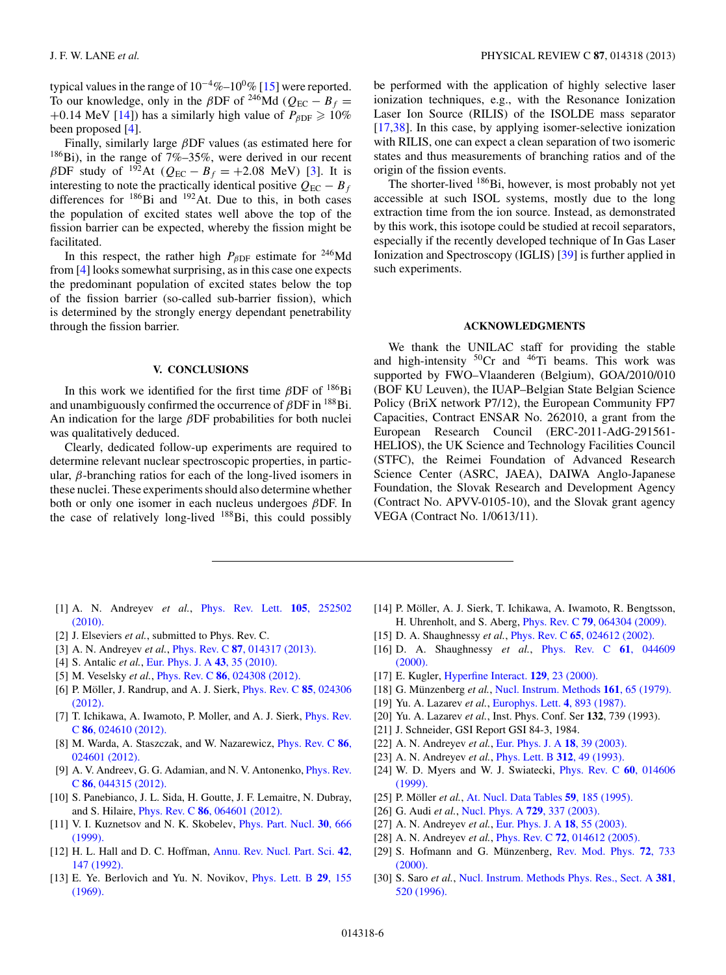<span id="page-6-0"></span>typical values in the range of  $10^{-4}\%$ – $10^{0}\%$  [15] were reported. To our knowledge, only in the  $\beta$ DF of <sup>246</sup>Md ( $Q_{EC} - B_f =$ +0.14 MeV [14]) has a similarly high value of  $P_{\beta DF} \ge 10\%$ been proposed [4].

Finally, similarly large  $\beta$ DF values (as estimated here for  $186$ Bi), in the range of 7%–35%, were derived in our recent  $\beta$ DF study of <sup>192</sup>At ( $Q_{EC} - B_f = +2.08$  MeV) [3]. It is interesting to note the practically identical positive  $Q_{EC} - B_f$ differences for <sup>186</sup>Bi and <sup>192</sup>At. Due to this, in both cases the population of excited states well above the top of the fission barrier can be expected, whereby the fission might be facilitated.

In this respect, the rather high  $P_{\beta DF}$  estimate for <sup>246</sup>Md from [4] looks somewhat surprising, as in this case one expects the predominant population of excited states below the top of the fission barrier (so-called sub-barrier fission), which is determined by the strongly energy dependant penetrability through the fission barrier.

#### **V. CONCLUSIONS**

In this work we identified for the first time  $\beta$ DF of  $^{186}$ Bi and unambiguously confirmed the occurrence of  $\beta$ DF in  $^{188}$ Bi. An indication for the large  $\beta$ DF probabilities for both nuclei was qualitatively deduced.

Clearly, dedicated follow-up experiments are required to determine relevant nuclear spectroscopic properties, in particular,  $\beta$ -branching ratios for each of the long-lived isomers in these nuclei. These experiments should also determine whether both or only one isomer in each nucleus undergoes βDF. In the case of relatively long-lived 188Bi, this could possibly

be performed with the application of highly selective laser ionization techniques, e.g., with the Resonance Ionization Laser Ion Source (RILIS) of the ISOLDE mass separator [17[,38\]](#page-7-0). In this case, by applying isomer-selective ionization with RILIS, one can expect a clean separation of two isomeric states and thus measurements of branching ratios and of the origin of the fission events.

The shorter-lived <sup>186</sup>Bi, however, is most probably not yet accessible at such ISOL systems, mostly due to the long extraction time from the ion source. Instead, as demonstrated by this work, this isotope could be studied at recoil separators, especially if the recently developed technique of In Gas Laser Ionization and Spectroscopy (IGLIS) [\[39\]](#page-7-0) is further applied in such experiments.

# **ACKNOWLEDGMENTS**

We thank the UNILAC staff for providing the stable and high-intensity  ${}^{50}Cr$  and  ${}^{46}Ti$  beams. This work was supported by FWO–Vlaanderen (Belgium), GOA/2010/010 (BOF KU Leuven), the IUAP–Belgian State Belgian Science Policy (BriX network P7/12), the European Community FP7 Capacities, Contract ENSAR No. 262010, a grant from the European Research Council (ERC-2011-AdG-291561- HELIOS), the UK Science and Technology Facilities Council (STFC), the Reimei Foundation of Advanced Research Science Center (ASRC, JAEA), DAIWA Anglo-Japanese Foundation, the Slovak Research and Development Agency (Contract No. APVV-0105-10), and the Slovak grant agency VEGA (Contract No. 1/0613/11).

- [1] A. N. Andreyev *et al.*, [Phys. Rev. Lett.](http://dx.doi.org/10.1103/PhysRevLett.105.252502) **105**, 252502 [\(2010\).](http://dx.doi.org/10.1103/PhysRevLett.105.252502)
- [2] J. Elseviers *et al.*, submitted to Phys. Rev. C.
- [3] A. N. Andreyev *et al.*, Phys. Rev. C **87**[, 014317 \(2013\).](http://dx.doi.org/10.1103/PhysRevC.87.014317)
- [4] S. Antalic *et al.*, [Eur. Phys. J. A](http://dx.doi.org/10.1140/epja/i2009-10896-0) **43**, 35 (2010).
- [5] M. Veselsky *et al.*, Phys. Rev. C **86**[, 024308 \(2012\).](http://dx.doi.org/10.1103/PhysRevC.86.024308)
- [6] P. Möller, J. Randrup, and A. J. Sierk, *[Phys. Rev. C](http://dx.doi.org/10.1103/PhysRevC.85.024306)* 85, 024306 [\(2012\).](http://dx.doi.org/10.1103/PhysRevC.85.024306)
- [7] T. Ichikawa, A. Iwamoto, P. Moller, and A. J. Sierk, [Phys. Rev.](http://dx.doi.org/10.1103/PhysRevC.86.024610) C **86**[, 024610 \(2012\).](http://dx.doi.org/10.1103/PhysRevC.86.024610)
- [8] M. Warda, A. Staszczak, and W. Nazarewicz, [Phys. Rev. C](http://dx.doi.org/10.1103/PhysRevC.86.024601) **86**, [024601 \(2012\).](http://dx.doi.org/10.1103/PhysRevC.86.024601)
- [9] A. V. Andreev, G. G. Adamian, and N. V. Antonenko, *[Phys. Rev.](http://dx.doi.org/10.1103/PhysRevC.86.044315)* C **86**[, 044315 \(2012\).](http://dx.doi.org/10.1103/PhysRevC.86.044315)
- [10] S. Panebianco, J. L. Sida, H. Goutte, J. F. Lemaitre, N. Dubray, and S. Hilaire, Phys. Rev. C **86**[, 064601 \(2012\).](http://dx.doi.org/10.1103/PhysRevC.86.064601)
- [11] V. I. Kuznetsov and N. K. Skobelev, [Phys. Part. Nucl.](http://dx.doi.org/10.1134/1.953123) **30**, 666 [\(1999\).](http://dx.doi.org/10.1134/1.953123)
- [12] H. L. Hall and D. C. Hoffman, [Annu. Rev. Nucl. Part. Sci.](http://dx.doi.org/10.1146/annurev.ns.42.120192.001051) **42**, [147 \(1992\).](http://dx.doi.org/10.1146/annurev.ns.42.120192.001051)
- [13] E. Ye. Berlovich and Yu. N. Novikov, [Phys. Lett. B](http://dx.doi.org/10.1016/0370-2693(69)90004-5) **29**, 155 [\(1969\).](http://dx.doi.org/10.1016/0370-2693(69)90004-5)
- [14] P. Möller, A. J. Sierk, T. Ichikawa, A. Iwamoto, R. Bengtsson, H. Uhrenholt, and S. Aberg, Phys. Rev. C **79**[, 064304 \(2009\).](http://dx.doi.org/10.1103/PhysRevC.79.064304)
- [15] D. A. Shaughnessy *et al.*, Phys. Rev. C **65**[, 024612 \(2002\).](http://dx.doi.org/10.1103/PhysRevC.65.024612)
- [16] D. A. Shaughnessy *et al.*, [Phys. Rev. C](http://dx.doi.org/10.1103/PhysRevC.61.044609) **61**, 044609 [\(2000\).](http://dx.doi.org/10.1103/PhysRevC.61.044609)
- [17] E. Kugler, [Hyperfine Interact.](http://dx.doi.org/10.1023/A:1012603025802) **129**, 23 (2000).
- [18] G. Münzenberg et al., [Nucl. Instrum. Methods](http://dx.doi.org/10.1016/0029-554X(79)90362-8) 161, 65 (1979).
- [19] Yu. A. Lazarev *et al.*, [Europhys. Lett.](http://dx.doi.org/10.1209/0295-5075/4/8/006) **4**, 893 (1987).
- [20] Yu. A. Lazarev *et al.*, Inst. Phys. Conf. Ser **132**, 739 (1993).
- [21] J. Schneider, GSI Report GSI 84-3, 1984.
- [22] A. N. Andreyev *et al.*, [Eur. Phys. J. A](http://dx.doi.org/10.1140/epja/i2003-10050-2) **18**, 39 (2003).
- [23] A. N. Andreyev *et al.*, [Phys. Lett. B](http://dx.doi.org/10.1016/0370-2693(93)90485-Z) **312**, 49 (1993).
- [24] W. D. Myers and W. J. Swiatecki, [Phys. Rev. C](http://dx.doi.org/10.1103/PhysRevC.60.014606) **60**, 014606 [\(1999\).](http://dx.doi.org/10.1103/PhysRevC.60.014606)
- [25] P. Möller et al., [At. Nucl. Data Tables](http://dx.doi.org/10.1006/adnd.1995.1002) **59**, 185 (1995).
- [26] G. Audi *et al.*, [Nucl. Phys. A](http://dx.doi.org/10.1016/j.nuclphysa.2003.11.003) **729**, 337 (2003).
- [27] A. N. Andreyev *et al.*, [Eur. Phys. J. A](http://dx.doi.org/10.1140/epja/i2003-10051-1) **18**, 55 (2003).
- [28] A. N. Andreyev *et al.*, Phys. Rev. C **72**[, 014612 \(2005\).](http://dx.doi.org/10.1103/PhysRevC.72.014612)
- [29] S. Hofmann and G. Münzenberg, [Rev. Mod. Phys.](http://dx.doi.org/10.1103/RevModPhys.72.733) 72, 733 [\(2000\).](http://dx.doi.org/10.1103/RevModPhys.72.733)
- [30] S. Saro *et al.*, [Nucl. Instrum. Methods Phys. Res., Sect. A](http://dx.doi.org/10.1016/S0168-9002(96)00651-1) **381**, [520 \(1996\).](http://dx.doi.org/10.1016/S0168-9002(96)00651-1)